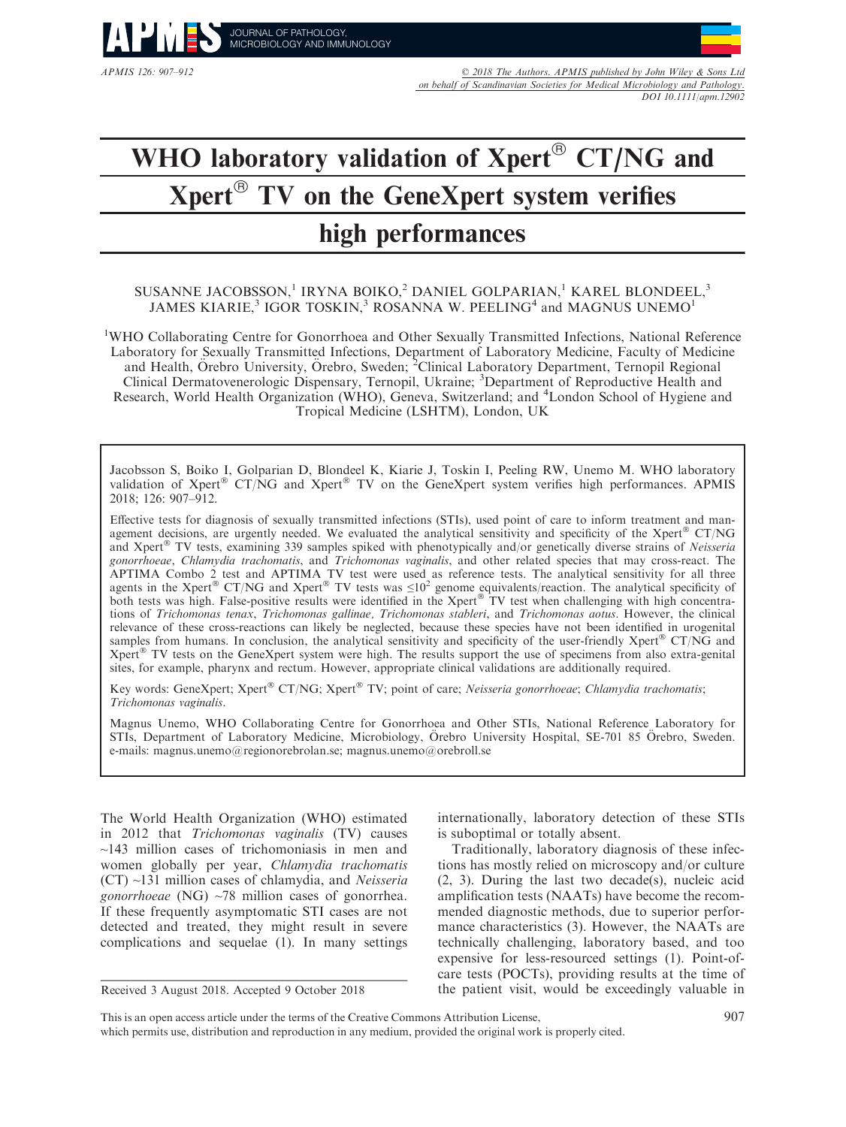

APMIS 126: 907–912 © 2018 The Authors. APMIS published by John Wiley & Sons Ltd on behalf of Scandinavian Societies for Medical Microbiology and Pathology. DOI 10.1111/apm.12902

# WHO laboratory validation of  $Xperf^{\circledR}$  CT/NG and  $Xpert^{\circledR}$  TV on the GeneXpert system verifies high performances

## SUSANNE JACOBSSON,<sup>1</sup> IRYNA BOIKO,<sup>2</sup> DANIEL GOLPARIAN,<sup>1</sup> KAREL BLONDEEL,<sup>3</sup> JAMES KIARIE,<sup>3</sup> IGOR TOSKIN,<sup>3</sup> ROSANNA W. PEELING<sup>4</sup> and MAGNUS UNEMO<sup>1</sup>

<sup>1</sup>WHO Collaborating Centre for Gonorrhoea and Other Sexually Transmitted Infections, National Reference Laboratory for Sexually Transmitted Infections, Department of Laboratory Medicine, Faculty of Medicine and Health, Örebro University, Örebro, Sweden; <sup>2</sup>Clinical Laboratory Department, Ternopil Regional Clinical Dermatovenerologic Dispensary, Ternopil, Ukraine; <sup>3</sup>Department of Reproductive Health and Research, World Health Organization (WHO), Geneva, Switzerland; and <sup>4</sup>London School of Hygiene and Tropical Medicine (LSHTM), London, UK

Jacobsson S, Boiko I, Golparian D, Blondeel K, Kiarie J, Toskin I, Peeling RW, Unemo M. WHO laboratory validation of Xpert<sup>®</sup> CT/NG and Xpert<sup>®</sup> TV on the GeneXpert system verifies high performances. APMIS 2018; 126: 907–912.

Effective tests for diagnosis of sexually transmitted infections (STIs), used point of care to inform treatment and management decisions, are urgently needed. We evaluated the analytical sensitivity and specificity of the Xpert  $C(T/NG)$ and Xpert<sup>®</sup> TV tests, examining 339 samples spiked with phenotypically and/or genetically diverse strains of Neisseria gonorrhoeae, Chlamydia trachomatis, and Trichomonas vaginalis, and other related species that may cross-react. The APTIMA Combo 2 test and APTIMA TV test were used as reference tests. The analytical sensitivity for all three agents in the Xpert<sup>®</sup> CT/NG and Xpert<sup>®</sup> TV tests was  $\leq 10^2$  genome equivalents/reaction. The analytical specificity of both tests was high. False-positive results were identified in the Xpert® TV test when challenging with high concentrations of Trichomonas tenax, Trichomonas gallinae, Trichomonas stableri, and Trichomonas aotus. However, the clinical relevance of these cross-reactions can likely be neglected, because these species have not been identified in urogenital samples from humans. In conclusion, the analytical sensitivity and specificity of the user-friendly  $Xper<sup>®</sup> CT/NG$  and Xpert<sup>®</sup> TV tests on the GeneXpert system were high. The results support the use of specimens from also extra-genital sites, for example, pharynx and rectum. However, appropriate clinical validations are additionally required.

Key words: GeneXpert; Xpert® CT/NG; Xpert® TV; point of care; Neisseria gonorrhoeae; Chlamydia trachomatis; Trichomonas vaginalis.

Magnus Unemo, WHO Collaborating Centre for Gonorrhoea and Other STIs, National Reference Laboratory for STIs, Department of Laboratory Medicine, Microbiology, Örebro University Hospital, SE-701 85 Örebro, Sweden. e-mails: [magnus.unemo@regionorebrolan.se](mailto:); [magnus.unemo@orebroll.se](mailto:)

The World Health Organization (WHO) estimated in 2012 that Trichomonas vaginalis (TV) causes  $\sim$ 143 million cases of trichomoniasis in men and women globally per year, Chlamydia trachomatis (CT) ~131 million cases of chlamydia, and Neisseria gonorrhoeae (NG) ~78 million cases of gonorrhea. If these frequently asymptomatic STI cases are not detected and treated, they might result in severe complications and sequelae (1). In many settings

internationally, laboratory detection of these STIs is suboptimal or totally absent.

Traditionally, laboratory diagnosis of these infections has mostly relied on microscopy and/or culture (2, 3). During the last two decade(s), nucleic acid amplification tests (NAATs) have become the recommended diagnostic methods, due to superior performance characteristics (3). However, the NAATs are technically challenging, laboratory based, and too expensive for less-resourced settings (1). Point-ofcare tests (POCTs), providing results at the time of Received 3 August 2018. Accepted 9 October 2018 the patient visit, would be exceedingly valuable in

This is an open access article under the terms of the [Creative Commons Attribution](http://creativecommons.org/licenses/by/4.0/) License, which permits use, distribution and reproduction in any medium, provided the original work is properly cited.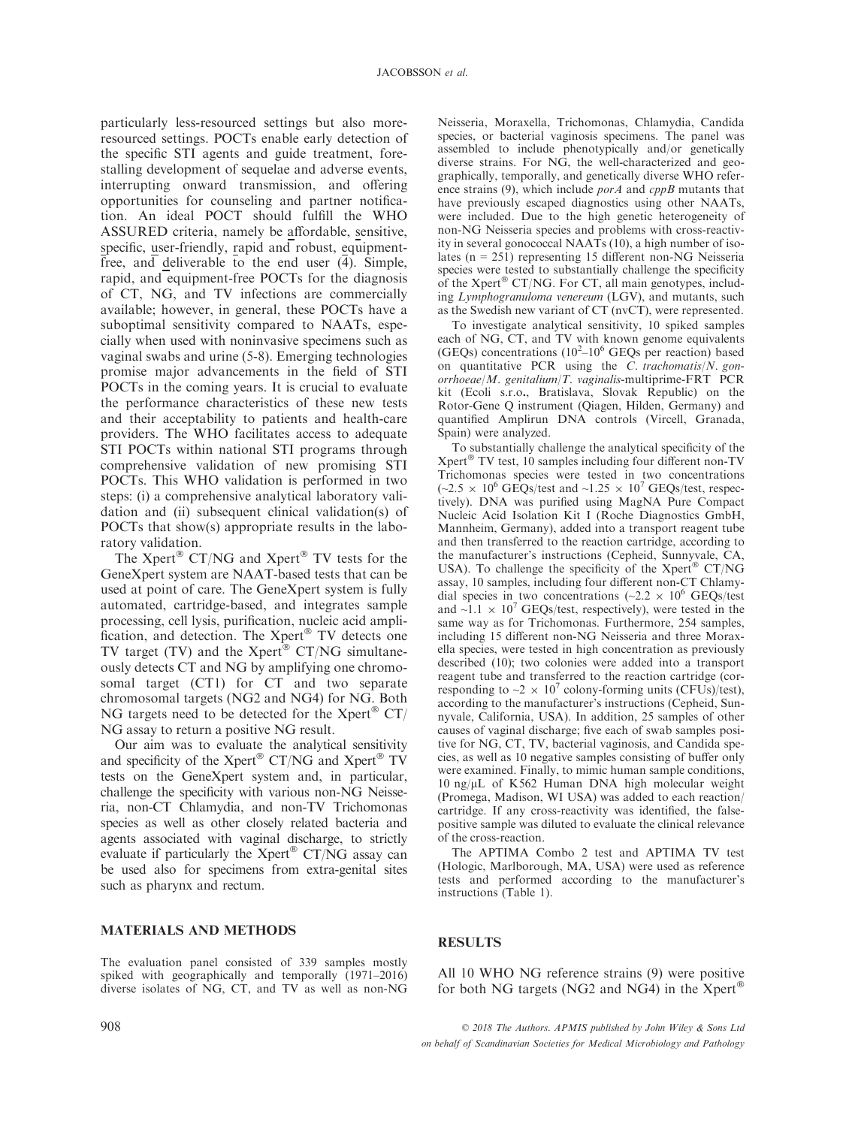particularly less-resourced settings but also moreresourced settings. POCTs enable early detection of the specific STI agents and guide treatment, forestalling development of sequelae and adverse events, interrupting onward transmission, and offering opportunities for counseling and partner notification. An ideal POCT should fulfill the WHO ASSURED criteria, namely be affordable, sensitive, specific, user-friendly, rapid and robust, equipmentfree, and deliverable to the end user  $(\overline{4})$ . Simple, rapid, and equipment-free POCTs for the diagnosis of CT, NG, and TV infections are commercially available; however, in general, these POCTs have a suboptimal sensitivity compared to NAATs, especially when used with noninvasive specimens such as vaginal swabs and urine (5-8). Emerging technologies promise major advancements in the field of STI POCTs in the coming years. It is crucial to evaluate the performance characteristics of these new tests and their acceptability to patients and health-care providers. The WHO facilitates access to adequate STI POCTs within national STI programs through comprehensive validation of new promising STI POCTs. This WHO validation is performed in two steps: (i) a comprehensive analytical laboratory validation and (ii) subsequent clinical validation(s) of POCTs that show(s) appropriate results in the laboratory validation.

The  $Xper^{\circledR}$  CT/NG and  $Xper^{\circledR}$  TV tests for the GeneXpert system are NAAT-based tests that can be used at point of care. The GeneXpert system is fully automated, cartridge-based, and integrates sample processing, cell lysis, purification, nucleic acid amplification, and detection. The  $Xper<sup>®</sup> TV$  detects one TV target (TV) and the Xpert $\rm^{\circledast}$  CT/NG simultaneously detects CT and NG by amplifying one chromosomal target (CT1) for CT and two separate chromosomal targets (NG2 and NG4) for NG. Both NG targets need to be detected for the Xpert<sup>®</sup>  $CT/$ NG assay to return a positive NG result.

Our aim was to evaluate the analytical sensitivity and specificity of the Xpert $^{\circledR}$  CT/NG and Xpert $^{\circledR}$  TV tests on the GeneXpert system and, in particular, challenge the specificity with various non-NG Neisseria, non-CT Chlamydia, and non-TV Trichomonas species as well as other closely related bacteria and agents associated with vaginal discharge, to strictly evaluate if particularly the  $Xper^{\otimes}$  CT/NG assay can be used also for specimens from extra-genital sites such as pharynx and rectum.

MATERIALS AND METHODS

The evaluation panel consisted of 339 samples mostly spiked with geographically and temporally (1971–2016) diverse isolates of NG, CT, and TV as well as non-NG Neisseria, Moraxella, Trichomonas, Chlamydia, Candida species, or bacterial vaginosis specimens. The panel was assembled to include phenotypically and/or genetically diverse strains. For NG, the well-characterized and geographically, temporally, and genetically diverse WHO reference strains (9), which include  $porA$  and  $cppB$  mutants that have previously escaped diagnostics using other NAATs, were included. Due to the high genetic heterogeneity of non-NG Neisseria species and problems with cross-reactivity in several gonococcal NAATs (10), a high number of isolates (n = 251) representing 15 different non-NG Neisseria species were tested to substantially challenge the specificity of the Xpert<sup>®</sup> CT/NG. For CT, all main genotypes, including Lymphogranuloma venereum (LGV), and mutants, such as the Swedish new variant of CT (nvCT), were represented.

To investigate analytical sensitivity, 10 spiked samples each of NG, CT, and TV with known genome equivalents (GEQs) concentrations  $(10^2 - 10^6 \text{ GEQs} \text{ per reaction})$  based on quantitative PCR using the  $C$ . trachomatis/N. gonorrhoeae/M. genitalium/T. vaginalis-multiprime-FRT PCR kit (Ecoli s.r.o., Bratislava, Slovak Republic) on the Rotor-Gene Q instrument (Qiagen, Hilden, Germany) and quantified Amplirun DNA controls (Vircell, Granada, Spain) were analyzed.

To substantially challenge the analytical specificity of the  $X$ pert<sup>®</sup> TV test, 10 samples including four different non-TV Trichomonas species were tested in two concentrations  $(-2.5 \times 10^6 \text{ GEQs}/\text{test}$  and  $\sim 1.25 \times 10^7 \text{ GEQs}/\text{test}$ , respectively). DNA was purified using MagNA Pure Compact Nucleic Acid Isolation Kit I (Roche Diagnostics GmbH, Mannheim, Germany), added into a transport reagent tube and then transferred to the reaction cartridge, according to the manufacturer's instructions (Cepheid, Sunnyvale, CA, USA). To challenge the specificity of the Xpert® CT/NG assay, 10 samples, including four different non-CT Chlamydial species in two concentrations ( $\sim$ 2.2  $\times$  10<sup>6</sup> GEQs/test and  $\sim$ 1.1  $\times$  10<sup>7</sup> GEQs/test, respectively), were tested in the same way as for Trichomonas. Furthermore, 254 samples, including 15 different non-NG Neisseria and three Moraxella species, were tested in high concentration as previously described (10); two colonies were added into a transport reagent tube and transferred to the reaction cartridge (corresponding to  $\sim$ 2  $\times$  10<sup>7</sup> colony-forming units (CFUs)/test), according to the manufacturer's instructions (Cepheid, Sunnyvale, California, USA). In addition, 25 samples of other causes of vaginal discharge; five each of swab samples positive for NG, CT, TV, bacterial vaginosis, and Candida species, as well as 10 negative samples consisting of buffer only were examined. Finally, to mimic human sample conditions,  $10$  ng/ $\mu$ L of K562 Human DNA high molecular weight (Promega, Madison, WI USA) was added to each reaction/ cartridge. If any cross-reactivity was identified, the falsepositive sample was diluted to evaluate the clinical relevance of the cross-reaction.

The APTIMA Combo 2 test and APTIMA TV test (Hologic, Marlborough, MA, USA) were used as reference tests and performed according to the manufacturer's instructions (Table 1).

#### RESULTS

All 10 WHO NG reference strains (9) were positive for both NG targets (NG2 and NG4) in the  $Xper^{\otimes}$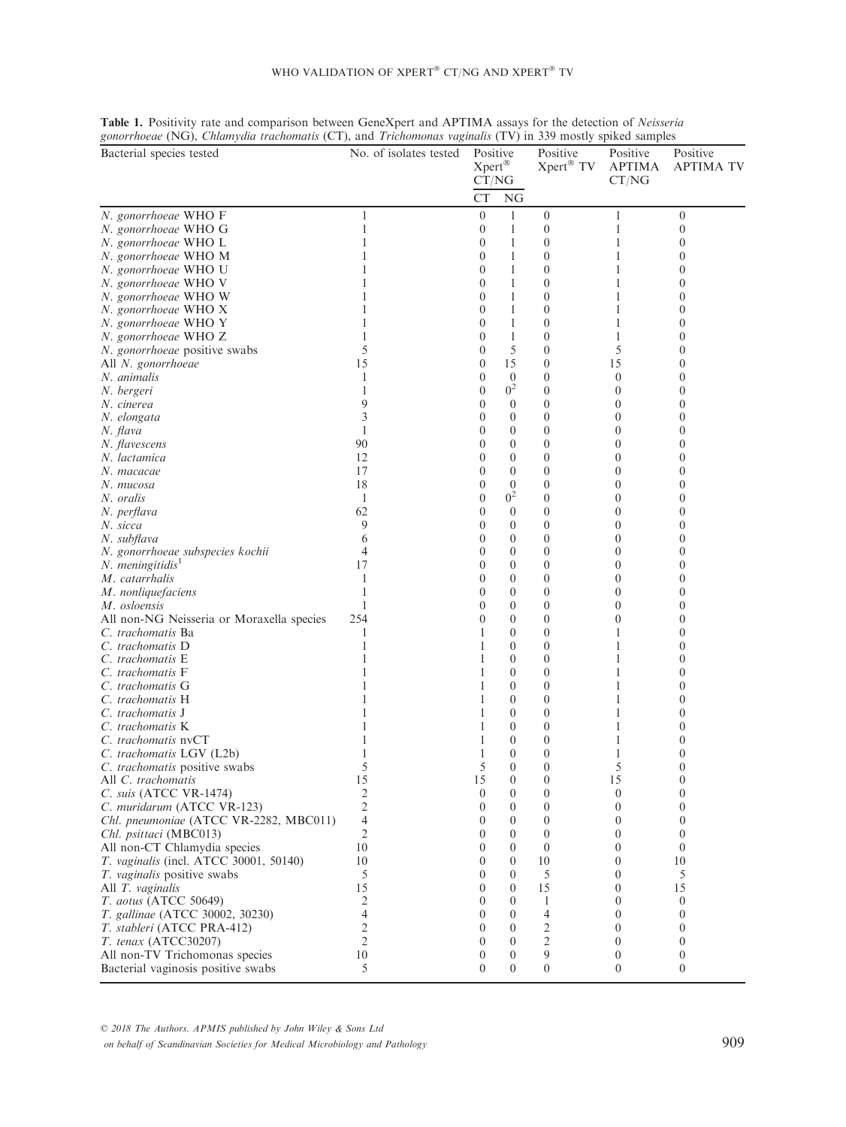| $\mathcal{S}_{\text{on}}$ and $\mathcal{S}_{\text{on}}$ are $\mathcal{S}_{\text{on}}$ and $\mathcal{S}_{\text{on}}$ and $\mathcal{S}_{\text{on}}$<br>Bacterial species tested | No. of isolates tested | Positive<br>Xpert®<br>CT/NG |                              | Positive<br>Xpert® TV | Positive<br><b>APTIMA</b><br>CT/NG | Positive<br><b>APTIMA TV</b> |
|-------------------------------------------------------------------------------------------------------------------------------------------------------------------------------|------------------------|-----------------------------|------------------------------|-----------------------|------------------------------------|------------------------------|
|                                                                                                                                                                               |                        | СT                          | NG                           |                       |                                    |                              |
| N. gonorrhoeae WHO F                                                                                                                                                          | 1                      | $\overline{0}$              | $\mathbf{1}$                 | $\theta$              | 1                                  | $\boldsymbol{0}$             |
| N. gonorrhoeae WHO G                                                                                                                                                          |                        | $\boldsymbol{0}$            | 1                            | $\boldsymbol{0}$      | 1                                  | $\boldsymbol{0}$             |
| N. gonorrhoeae WHO L                                                                                                                                                          |                        | $\theta$                    | 1                            | $\theta$              | 1                                  | 0                            |
| N. gonorrhoeae WHO M                                                                                                                                                          |                        | $\overline{0}$              | 1                            | $\theta$              |                                    | 0                            |
| N. gonorrhoeae WHO U                                                                                                                                                          |                        | $\theta$                    | 1                            | $\theta$              |                                    | 0                            |
| N. gonorrhoeae WHO V                                                                                                                                                          |                        | $\theta$                    | 1                            | $\theta$              |                                    | $\overline{0}$               |
| N. gonorrhoeae WHO W                                                                                                                                                          |                        | $\theta$                    | 1                            | $\theta$              |                                    | $\theta$                     |
| N. gonorrhoeae WHO X                                                                                                                                                          |                        | $\theta$                    | 1                            | $\overline{0}$        |                                    | 0                            |
| N. gonorrhoeae WHO Y                                                                                                                                                          |                        | $\theta$                    | 1                            | $\overline{0}$        |                                    | 0                            |
| N. gonorrhoeae WHO Z                                                                                                                                                          |                        | $\theta$                    | 1                            | $\boldsymbol{0}$      |                                    | 0                            |
| N. gonorrhoeae positive swabs                                                                                                                                                 | 5                      | $\overline{0}$              | 5                            | $\overline{0}$        | 5                                  | $\overline{0}$               |
| All N. gonorrhoeae                                                                                                                                                            | 15                     | $\theta$                    | 15                           | $\theta$              | 15                                 | $\overline{0}$               |
| N. animalis                                                                                                                                                                   | 1                      | $\theta$                    | $\theta$                     | $\theta$              | $\theta$                           | $\overline{0}$               |
| N. bergeri                                                                                                                                                                    |                        | $\theta$                    | 0 <sup>2</sup>               | $\theta$              | $\Omega$                           | $\theta$                     |
| N. cinerea                                                                                                                                                                    | 9                      | $\theta$                    | $\mathbf{0}$                 | 0                     | $\theta$                           | 0                            |
| N. elongata                                                                                                                                                                   |                        | $\theta$                    | $\theta$                     | $\overline{0}$        | $\theta$                           | 0                            |
| N. flava                                                                                                                                                                      | 1                      | $\theta$                    | $\theta$                     | $\overline{0}$        | $\theta$                           | $\overline{0}$               |
| N. flavescens                                                                                                                                                                 | 90                     | $\theta$                    | $\mathbf{0}$                 | $\overline{0}$        | $\theta$                           | $\overline{0}$               |
| N. lactamica                                                                                                                                                                  | 12                     | $\theta$                    | $\mathbf{0}$                 | $\overline{0}$        | $\Omega$                           | $\overline{0}$               |
| N. macacae                                                                                                                                                                    | 17                     | $\theta$                    | $\mathbf{0}$                 | $\overline{0}$        | $\theta$                           | $\overline{0}$               |
| N. mucosa                                                                                                                                                                     | 18                     | $\theta$                    | $\theta$                     | $\overline{0}$        | $\Omega$                           | 0                            |
| N. oralis                                                                                                                                                                     | 1                      | $\theta$                    | 0 <sup>2</sup>               | $\boldsymbol{0}$      | $\theta$                           | 0                            |
| N. perflava                                                                                                                                                                   | 62                     | $\overline{0}$              | $\theta$                     | $\mathbf{0}$          | $\Omega$                           | $\overline{0}$               |
| N. sicca                                                                                                                                                                      | 9                      | $\theta$                    | $\theta$                     | $\mathbf{0}$          | $\theta$                           | $\overline{0}$               |
| N. subflava                                                                                                                                                                   | 6                      | $\overline{0}$              | $\theta$                     | $\overline{0}$        | $\theta$                           | $\overline{0}$               |
| N. gonorrhoeae subspecies kochii                                                                                                                                              | 4                      | $\theta$                    | $\mathbf{0}$                 | $\overline{0}$        | $\Omega$                           | $\theta$                     |
| N. meningitidis <sup>1</sup>                                                                                                                                                  | 17                     | $\theta$                    | $\boldsymbol{0}$             | $\overline{0}$        | $\theta$                           | $\overline{0}$               |
| M. catarrhalis                                                                                                                                                                |                        | $\theta$                    | $\theta$                     | $\overline{0}$        | $\Omega$                           | 0                            |
| M. nonliquefaciens                                                                                                                                                            |                        | $\theta$                    | $\boldsymbol{0}$             | $\boldsymbol{0}$      | $\theta$                           | 0                            |
| M. osloensis                                                                                                                                                                  |                        | $\overline{0}$              | $\mathbf{0}$                 | $\overline{0}$        | $\theta$                           | $\overline{0}$               |
| All non-NG Neisseria or Moraxella species                                                                                                                                     | 254                    | $\theta$                    | $\mathbf{0}$                 | $\mathbf{0}$          | $\theta$                           | $\overline{0}$               |
| C. trachomatis Ba                                                                                                                                                             | 1                      | 1                           | $\mathbf{0}$                 | $\overline{0}$        | 1                                  | $\overline{0}$               |
| C. trachomatis D                                                                                                                                                              |                        |                             | $\theta$                     | $\overline{0}$        |                                    | $\theta$                     |
| C. trachomatis E                                                                                                                                                              |                        | 1                           | $\mathbf{0}$                 | $\overline{0}$        |                                    | 0                            |
| C. trachomatis F                                                                                                                                                              |                        |                             | $\theta$                     | $\overline{0}$        |                                    | 0                            |
| C. trachomatis G                                                                                                                                                              |                        |                             | $\theta$                     | $\overline{0}$        |                                    | $\overline{0}$               |
| C. trachomatis H                                                                                                                                                              |                        |                             | $\boldsymbol{0}$             | $\theta$              |                                    | $\overline{0}$               |
| C. trachomatis J                                                                                                                                                              |                        |                             | $\theta$<br>$\theta$         | $\theta$<br>$\theta$  |                                    | $\overline{0}$               |
| C. trachomatis K                                                                                                                                                              |                        | 1                           |                              | $\overline{0}$        |                                    | 0                            |
| C. trachomatis nvCT                                                                                                                                                           |                        | 1                           | $\theta$<br>$\boldsymbol{0}$ | 0                     |                                    | 0<br>0                       |
| C. trachomatis LGV (L2b)<br>C. trachomatis positive swabs                                                                                                                     | 5                      | 5                           | $\theta$                     | $\overline{0}$        | 5                                  | $\overline{0}$               |
|                                                                                                                                                                               | 15                     |                             | $\boldsymbol{0}$             | $\theta$              | 15                                 | $\mathbf{0}$                 |
| All <i>C.</i> trachomatis<br>C. suis (ATCC VR-1474)                                                                                                                           | 2                      | 15<br>$\boldsymbol{0}$      | $\boldsymbol{0}$             | $\boldsymbol{0}$      | $\mathbf{0}$                       | $\boldsymbol{0}$             |
| C. muridarum (ATCC VR-123)                                                                                                                                                    | $\overline{c}$         | 0                           | $\theta$                     | $\theta$              | $\theta$                           | 0                            |
| Chl. pneumoniae (ATCC VR-2282, MBC011)                                                                                                                                        | 4                      | $\theta$                    | $\theta$                     | $\theta$              | $\overline{0}$                     | 0                            |
| Chl. psittaci (MBC013)                                                                                                                                                        | 2                      | $\theta$                    | $\theta$                     | $\theta$              | $\overline{0}$                     | $\boldsymbol{0}$             |
| All non-CT Chlamydia species                                                                                                                                                  | 10                     | $\theta$                    | $\theta$                     | $\overline{0}$        | $\mathbf{0}$                       | $\boldsymbol{0}$             |
| T. vaginalis (incl. ATCC 30001, 50140)                                                                                                                                        | 10                     | $\theta$                    | $\theta$                     | 10                    | $\overline{0}$                     | 10                           |
| T. vaginalis positive swabs                                                                                                                                                   | 5                      | $\theta$                    | $\theta$                     | 5                     | $\theta$                           | 5                            |
| All T. vaginalis                                                                                                                                                              | 15                     | $\theta$                    | $\theta$                     | 15                    | $\overline{0}$                     | 15                           |
| T. aotus (ATCC 50649)                                                                                                                                                         | 2                      | $\theta$                    | $\theta$                     | 1                     | $\Omega$                           | $\boldsymbol{0}$             |
| T. gallinae (ATCC 30002, 30230)                                                                                                                                               | 4                      | 0                           | $\boldsymbol{0}$             | 4                     | $\overline{0}$                     | $\boldsymbol{0}$             |
| T. stableri (ATCC PRA-412)                                                                                                                                                    | 2                      | $\theta$                    | $\theta$                     | 2                     | $\theta$                           | 0                            |
| T. tenax (ATCC30207)                                                                                                                                                          | $\overline{c}$         | $\theta$                    | $\boldsymbol{0}$             | $\overline{c}$        | $\mathbf{0}$                       | $\boldsymbol{0}$             |
| All non-TV Trichomonas species                                                                                                                                                | 10                     | $\boldsymbol{0}$            | $\boldsymbol{0}$             | 9                     | $\mathbf{0}$                       | $\boldsymbol{0}$             |
| Bacterial vaginosis positive swabs                                                                                                                                            | 5                      | $\theta$                    | $\overline{0}$               | $\boldsymbol{0}$      | $\mathbf{0}$                       | $\boldsymbol{0}$             |

## Table 1. Positivity rate and comparison between GeneXpert and APTIMA assays for the detection of Neisseria gonorrhoeae (NG), Chlamydia trachomatis (CT), and Trichomonas vaginalis (TV) in 339 mostly spiked samples

© 2018 The Authors. APMIS published by John Wiley & Sons Ltd on behalf of Scandinavian Societies for Medical Microbiology and Pathology 909 and Pathology 909

## WHO VALIDATION OF XPERT<sup>®</sup> CT/NG AND XPERT<sup>®</sup> TV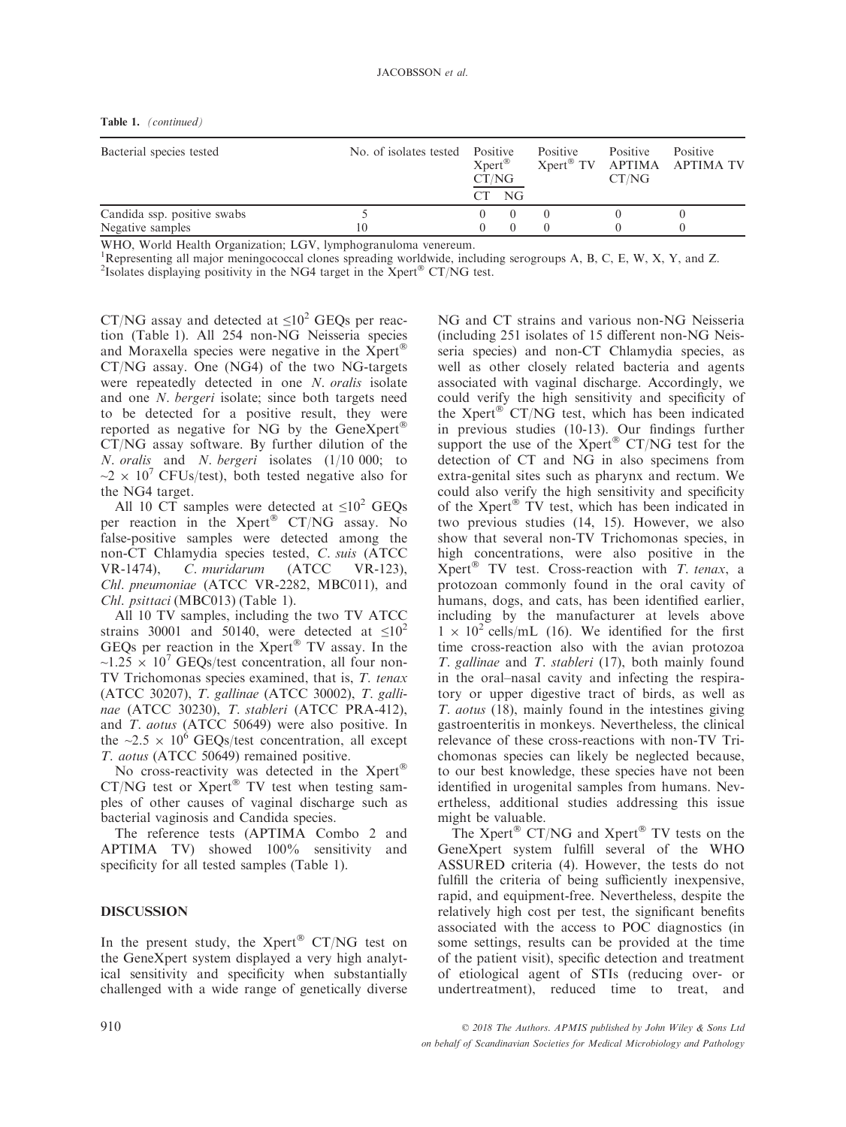| Table 1. | (continued) |
|----------|-------------|
|----------|-------------|

| Bacterial species tested    | No. of isolates tested Positive | $X$ pert®<br>CT/NG<br>NG<br>CТ |  | Positive | <b>Positive</b><br>CT/NG | Positive<br>Xpert® TV APTIMA APTIMA TV |
|-----------------------------|---------------------------------|--------------------------------|--|----------|--------------------------|----------------------------------------|
| Candida ssp. positive swabs |                                 |                                |  |          |                          |                                        |
| Negative samples            | 10                              |                                |  |          |                          |                                        |

WHO, World Health Organization; LGV, lymphogranuloma venereum.

1 Representing all major meningococcal clones spreading worldwide, including serogroups A, B, C, E, W, X, Y, and Z.

<sup>2</sup>Isolates displaying positivity in the NG4 target in the Xpert<sup>®</sup> CT/NG test.

CT/NG assay and detected at  $\leq 10^2$  GEQs per reaction (Table 1). All 254 non-NG Neisseria species and Moraxella species were negative in the  $\bar{X}$ pert $^{\circledR}$ CT/NG assay. One (NG4) of the two NG-targets were repeatedly detected in one N. oralis isolate and one N. bergeri isolate; since both targets need to be detected for a positive result, they were reported as negative for NG by the GeneXpert CT/NG assay software. By further dilution of the N. oralis and N. bergeri isolates (1/10 000; to  $\sim$ 2 × 10<sup>7</sup> CFUs/test), both tested negative also for the NG4 target.

All 10 CT samples were detected at  $\leq 10^2$  GEQs per reaction in the  $Xper^{\otimes}$  CT/NG assay. No false-positive samples were detected among the non-CT Chlamydia species tested, C. suis (ATCC VR-1474), C. muridarum (ATCC VR-123), Chl. pneumoniae (ATCC VR-2282, MBC011), and Chl. psittaci (MBC013) (Table 1).

All 10 TV samples, including the two TV ATCC strains 30001 and 50140, were detected at  $\leq 10^2$ GEQs per reaction in the  $X$ pert® TV assay. In the  $\sim$ 1.25  $\times$  10<sup>7</sup> GEQs/test concentration, all four non-TV Trichomonas species examined, that is, T. tenax (ATCC 30207), T. gallinae (ATCC 30002), T. gallinae (ATCC 30230), T. stableri (ATCC PRA-412), and T. aotus (ATCC 50649) were also positive. In the  $\sim$ 2.5  $\times$  10<sup>6</sup> GEQs/test concentration, all except T. aotus (ATCC 50649) remained positive.

No cross-reactivity was detected in the  $X$ pert $^{\circ}$  $CT/NG$  test or  $X$ pert<sup>®</sup> TV test when testing samples of other causes of vaginal discharge such as bacterial vaginosis and Candida species.

The reference tests (APTIMA Combo 2 and APTIMA TV) showed 100% sensitivity and specificity for all tested samples (Table 1).

## DISCUSSION

In the present study, the Xpert<sup>®</sup> CT/NG test on the GeneXpert system displayed a very high analytical sensitivity and specificity when substantially challenged with a wide range of genetically diverse NG and CT strains and various non-NG Neisseria (including 251 isolates of 15 different non-NG Neisseria species) and non-CT Chlamydia species, as well as other closely related bacteria and agents associated with vaginal discharge. Accordingly, we could verify the high sensitivity and specificity of the  $Xper^{\circledR}$  CT/NG test, which has been indicated in previous studies (10-13). Our findings further support the use of the  $Xper^{\otimes}$  CT/NG test for the detection of CT and NG in also specimens from extra-genital sites such as pharynx and rectum. We could also verify the high sensitivity and specificity of the Xpert® TV test, which has been indicated in two previous studies (14, 15). However, we also show that several non-TV Trichomonas species, in high concentrations, were also positive in the  $X$ pert<sup>®</sup> TV test. Cross-reaction with T. tenax, a protozoan commonly found in the oral cavity of humans, dogs, and cats, has been identified earlier, including by the manufacturer at levels above  $1 \times 10^2$  cells/mL (16). We identified for the first time cross-reaction also with the avian protozoa T. gallinae and T. stableri (17), both mainly found in the oral–nasal cavity and infecting the respiratory or upper digestive tract of birds, as well as T. aotus (18), mainly found in the intestines giving gastroenteritis in monkeys. Nevertheless, the clinical relevance of these cross-reactions with non-TV Trichomonas species can likely be neglected because, to our best knowledge, these species have not been identified in urogenital samples from humans. Nevertheless, additional studies addressing this issue might be valuable.

The  $Xper^{\circledR}$  CT/NG and  $Xper^{\circledR}$  TV tests on the GeneXpert system fulfill several of the WHO ASSURED criteria (4). However, the tests do not fulfill the criteria of being sufficiently inexpensive, rapid, and equipment-free. Nevertheless, despite the relatively high cost per test, the significant benefits associated with the access to POC diagnostics (in some settings, results can be provided at the time of the patient visit), specific detection and treatment of etiological agent of STIs (reducing over- or undertreatment), reduced time to treat, and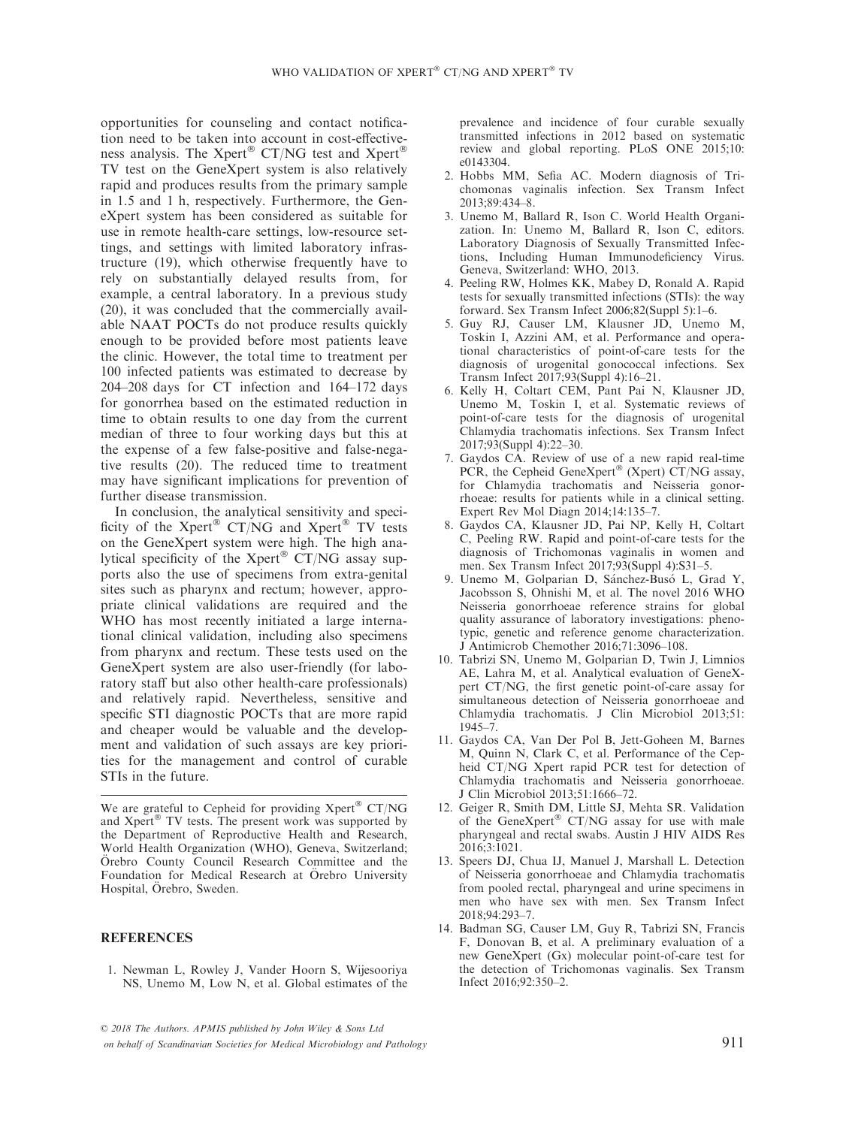opportunities for counseling and contact notification need to be taken into account in cost-effectiveness analysis. The Xpert<sup>®</sup> CT/NG test and Xpert<sup>®</sup> TV test on the GeneXpert system is also relatively rapid and produces results from the primary sample in 1.5 and 1 h, respectively. Furthermore, the GeneXpert system has been considered as suitable for use in remote health-care settings, low-resource settings, and settings with limited laboratory infrastructure (19), which otherwise frequently have to rely on substantially delayed results from, for example, a central laboratory. In a previous study (20), it was concluded that the commercially available NAAT POCTs do not produce results quickly enough to be provided before most patients leave the clinic. However, the total time to treatment per 100 infected patients was estimated to decrease by 204–208 days for CT infection and 164–172 days for gonorrhea based on the estimated reduction in time to obtain results to one day from the current median of three to four working days but this at the expense of a few false-positive and false-negative results (20). The reduced time to treatment may have significant implications for prevention of further disease transmission.

In conclusion, the analytical sensitivity and specificity of the Xpert<sup>®</sup> CT/NG and Xpert<sup>®</sup> TV tests on the GeneXpert system were high. The high analytical specificity of the Xpert<sup>®</sup> CT/NG assay supports also the use of specimens from extra-genital sites such as pharynx and rectum; however, appropriate clinical validations are required and the WHO has most recently initiated a large international clinical validation, including also specimens from pharynx and rectum. These tests used on the GeneXpert system are also user-friendly (for laboratory staff but also other health-care professionals) and relatively rapid. Nevertheless, sensitive and specific STI diagnostic POCTs that are more rapid and cheaper would be valuable and the development and validation of such assays are key priorities for the management and control of curable STIs in the future.

We are grateful to Cepheid for providing  $Xper^{\circ}$  CT/NG and  $X$ pert<sup>®</sup> TV tests. The present work was supported by the Department of Reproductive Health and Research, World Health Organization (WHO), Geneva, Switzerland; Orebro County Council Research Committee and the Foundation for Medical Research at Örebro University Hospital, Orebro, Sweden.

### **REFERENCES**

1. Newman L, Rowley J, Vander Hoorn S, Wijesooriya NS, Unemo M, Low N, et al. Global estimates of the prevalence and incidence of four curable sexually transmitted infections in 2012 based on systematic review and global reporting. PLoS ONE 2015;10: e0143304.

- 2. Hobbs MM, Sefia AC. Modern diagnosis of Trichomonas vaginalis infection. Sex Transm Infect 2013;89:434–8.
- 3. Unemo M, Ballard R, Ison C. World Health Organization. In: Unemo M, Ballard R, Ison C, editors. Laboratory Diagnosis of Sexually Transmitted Infections, Including Human Immunodeficiency Virus. Geneva, Switzerland: WHO, 2013.
- 4. Peeling RW, Holmes KK, Mabey D, Ronald A. Rapid tests for sexually transmitted infections (STIs): the way forward. Sex Transm Infect 2006;82(Suppl 5):1–6.
- 5. Guy RJ, Causer LM, Klausner JD, Unemo M, Toskin I, Azzini AM, et al. Performance and operational characteristics of point-of-care tests for the diagnosis of urogenital gonococcal infections. Sex Transm Infect 2017;93(Suppl 4):16–21.
- 6. Kelly H, Coltart CEM, Pant Pai N, Klausner JD, Unemo M, Toskin I, et al. Systematic reviews of point-of-care tests for the diagnosis of urogenital Chlamydia trachomatis infections. Sex Transm Infect 2017;93(Suppl 4):22–30.
- 7. Gaydos CA. Review of use of a new rapid real-time PCR, the Cepheid GeneXpert® (Xpert) CT/NG assay, for Chlamydia trachomatis and Neisseria gonorrhoeae: results for patients while in a clinical setting. Expert Rev Mol Diagn 2014;14:135–7.
- 8. Gaydos CA, Klausner JD, Pai NP, Kelly H, Coltart C, Peeling RW. Rapid and point-of-care tests for the diagnosis of Trichomonas vaginalis in women and men. Sex Transm Infect 2017;93(Suppl 4):S31–5.
- 9. Unemo M, Golparian D, Sánchez-Busó L, Grad Y, Jacobsson S, Ohnishi M, et al. The novel 2016 WHO Neisseria gonorrhoeae reference strains for global quality assurance of laboratory investigations: phenotypic, genetic and reference genome characterization. J Antimicrob Chemother 2016;71:3096–108.
- 10. Tabrizi SN, Unemo M, Golparian D, Twin J, Limnios AE, Lahra M, et al. Analytical evaluation of GeneXpert CT/NG, the first genetic point-of-care assay for simultaneous detection of Neisseria gonorrhoeae and Chlamydia trachomatis. J Clin Microbiol 2013;51: 1945–7.
- 11. Gaydos CA, Van Der Pol B, Jett-Goheen M, Barnes M, Quinn N, Clark C, et al. Performance of the Cepheid CT/NG Xpert rapid PCR test for detection of Chlamydia trachomatis and Neisseria gonorrhoeae. J Clin Microbiol 2013;51:1666–72.
- 12. Geiger R, Smith DM, Little SJ, Mehta SR. Validation of the GeneXpert<sup>®</sup> CT/NG assay for use with male pharyngeal and rectal swabs. Austin J HIV AIDS Res 2016;3:1021.
- 13. Speers DJ, Chua IJ, Manuel J, Marshall L. Detection of Neisseria gonorrhoeae and Chlamydia trachomatis from pooled rectal, pharyngeal and urine specimens in men who have sex with men. Sex Transm Infect 2018;94:293–7.
- 14. Badman SG, Causer LM, Guy R, Tabrizi SN, Francis F, Donovan B, et al. A preliminary evaluation of a new GeneXpert (Gx) molecular point-of-care test for the detection of Trichomonas vaginalis. Sex Transm Infect 2016;92:350–2.